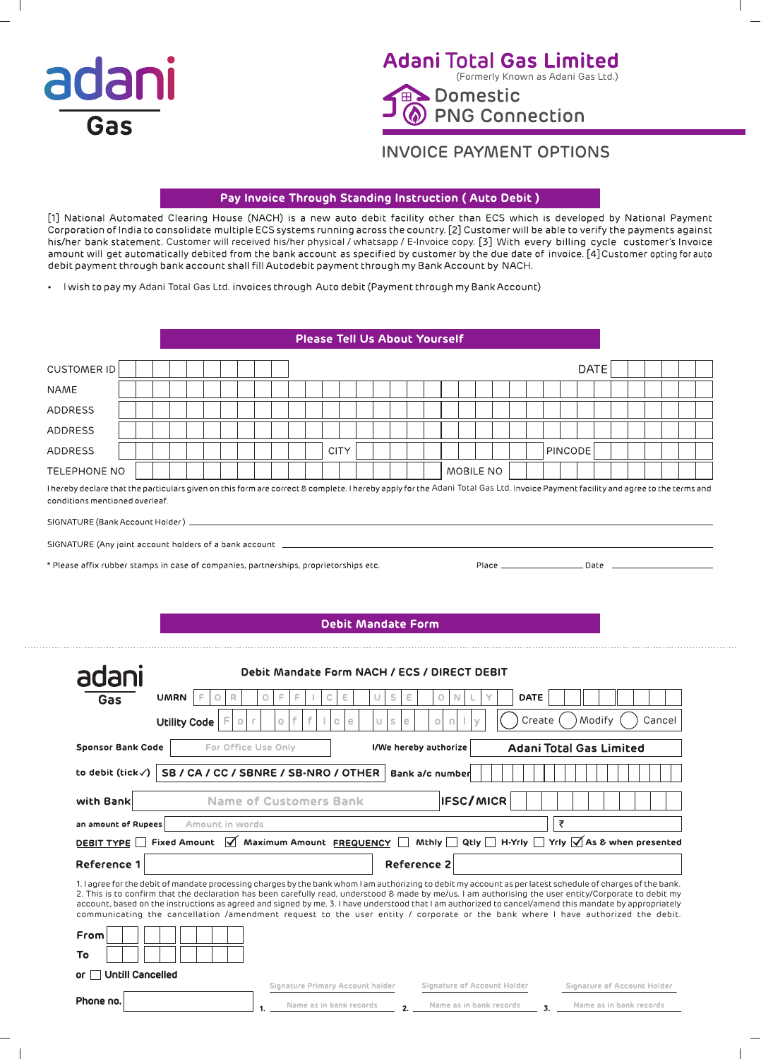

## **Adani Total Gas Limited** (Formerly Known as Adani Gas Ltd.) Domestic

**PNG Connection** 

# **INVOICE PAYMENT OPTIONS**

### Pay Invoice Through Standing Instruction (Auto Debit)

[1] National Automated Clearing House (NACH) is a new auto debit facility other than ECS which is developed by National Payment Corporation of India to consolidate multiple ECS systems running across the country. [2] Customer will be able to verify the payments against<br>his/her bank statement. Customer will received his/her physical / whatsapp / E-I debit payment through bank account shall fill Autodebit payment through my Bank Account by NACH.

. I wish to pay my Adani Total Gas Ltd. invoices through Auto debit (Payment through my Bank Account)

### **Please Tell Us About Yourself**

| <b>CUSTOMER ID</b>                                                                                                                                                                                                                                                                                                                                                                                                                                                                                                                                                                                                 |                     |                 |   |         |                     |   |    |                                                                                           |                           |    |                       |   |   |   |                         |                             |  |             |   |                                | <b>DATE</b> |                         |        |  |
|--------------------------------------------------------------------------------------------------------------------------------------------------------------------------------------------------------------------------------------------------------------------------------------------------------------------------------------------------------------------------------------------------------------------------------------------------------------------------------------------------------------------------------------------------------------------------------------------------------------------|---------------------|-----------------|---|---------|---------------------|---|----|-------------------------------------------------------------------------------------------|---------------------------|----|-----------------------|---|---|---|-------------------------|-----------------------------|--|-------------|---|--------------------------------|-------------|-------------------------|--------|--|
| <b>NAME</b>                                                                                                                                                                                                                                                                                                                                                                                                                                                                                                                                                                                                        |                     |                 |   |         |                     |   |    |                                                                                           |                           |    |                       |   |   |   |                         |                             |  |             |   |                                |             |                         |        |  |
| <b>ADDRESS</b>                                                                                                                                                                                                                                                                                                                                                                                                                                                                                                                                                                                                     |                     |                 |   |         |                     |   |    |                                                                                           |                           |    |                       |   |   |   |                         |                             |  |             |   |                                |             |                         |        |  |
| <b>ADDRESS</b>                                                                                                                                                                                                                                                                                                                                                                                                                                                                                                                                                                                                     |                     |                 |   |         |                     |   |    |                                                                                           |                           |    |                       |   |   |   |                         |                             |  |             |   |                                |             |                         |        |  |
| ADDRESS                                                                                                                                                                                                                                                                                                                                                                                                                                                                                                                                                                                                            |                     |                 |   |         |                     |   |    |                                                                                           | <b>CITY</b>               |    |                       |   |   |   |                         |                             |  |             |   | PINCODE                        |             |                         |        |  |
| <b>TELEPHONE NO</b>                                                                                                                                                                                                                                                                                                                                                                                                                                                                                                                                                                                                |                     |                 |   |         |                     |   |    |                                                                                           |                           |    |                       |   |   |   |                         | MOBILE NO                   |  |             |   |                                |             |                         |        |  |
| I hereby declare that the particulars given on this form are correct & complete. I hereby apply for the Adani Total Gas Ltd. Invoice Payment facility and agree to the terms and<br>conditions mentioned overleaf.                                                                                                                                                                                                                                                                                                                                                                                                 |                     |                 |   |         |                     |   |    |                                                                                           |                           |    |                       |   |   |   |                         |                             |  |             |   |                                |             |                         |        |  |
| SIGNATURE (Bank Account Holder) __                                                                                                                                                                                                                                                                                                                                                                                                                                                                                                                                                                                 |                     |                 |   |         |                     |   |    | the control of the control of the control of the control of the control of the control of |                           |    |                       |   |   |   |                         |                             |  |             |   |                                |             |                         |        |  |
| SIGNATURE (Any joint account holders of a bank account _                                                                                                                                                                                                                                                                                                                                                                                                                                                                                                                                                           |                     |                 |   |         |                     |   |    |                                                                                           |                           |    |                       |   |   |   |                         |                             |  |             |   |                                |             |                         |        |  |
| * Please affix rubber stamps in case of companies, partnerships, proprietorships etc.                                                                                                                                                                                                                                                                                                                                                                                                                                                                                                                              |                     |                 |   |         |                     |   |    |                                                                                           |                           |    |                       |   |   |   |                         |                             |  |             |   |                                |             |                         |        |  |
|                                                                                                                                                                                                                                                                                                                                                                                                                                                                                                                                                                                                                    |                     |                 |   |         |                     |   |    |                                                                                           |                           |    |                       |   |   |   |                         |                             |  |             |   |                                |             |                         |        |  |
|                                                                                                                                                                                                                                                                                                                                                                                                                                                                                                                                                                                                                    |                     |                 |   |         |                     |   |    |                                                                                           |                           |    |                       |   |   |   |                         |                             |  |             |   |                                |             |                         |        |  |
|                                                                                                                                                                                                                                                                                                                                                                                                                                                                                                                                                                                                                    |                     |                 |   |         |                     |   |    |                                                                                           | <b>Debit Mandate Form</b> |    |                       |   |   |   |                         |                             |  |             |   |                                |             |                         |        |  |
|                                                                                                                                                                                                                                                                                                                                                                                                                                                                                                                                                                                                                    |                     |                 |   |         |                     |   |    |                                                                                           |                           |    |                       |   |   |   |                         |                             |  |             |   |                                |             |                         |        |  |
|                                                                                                                                                                                                                                                                                                                                                                                                                                                                                                                                                                                                                    |                     |                 |   |         |                     |   |    |                                                                                           |                           |    |                       |   |   |   |                         |                             |  |             |   |                                |             |                         |        |  |
| adani                                                                                                                                                                                                                                                                                                                                                                                                                                                                                                                                                                                                              |                     |                 |   |         |                     |   |    | Debit Mandate Form NACH / ECS / DIRECT DEBIT                                              |                           |    |                       |   |   |   |                         |                             |  |             |   |                                |             |                         |        |  |
| Gas                                                                                                                                                                                                                                                                                                                                                                                                                                                                                                                                                                                                                | <b>UMRN</b>         | F               | R |         | O                   |   | F  |                                                                                           | Ε                         |    | s                     | Ε | O |   |                         |                             |  | <b>DATE</b> |   |                                |             |                         |        |  |
|                                                                                                                                                                                                                                                                                                                                                                                                                                                                                                                                                                                                                    | <b>Utility Code</b> |                 |   | $\circ$ |                     | O | f. | f                                                                                         | e<br>C.                   | U. | e<br>s                |   | 0 | n |                         |                             |  | Create      |   |                                | Modify      |                         | Cancel |  |
| <b>Sponsor Bank Code</b>                                                                                                                                                                                                                                                                                                                                                                                                                                                                                                                                                                                           |                     |                 |   |         | For Office Use Only |   |    |                                                                                           |                           |    | I/We hereby authorize |   |   |   |                         |                             |  |             |   | <b>Adani Total Gas Limited</b> |             |                         |        |  |
| to debit (tick $\sqrt{}$ )                                                                                                                                                                                                                                                                                                                                                                                                                                                                                                                                                                                         |                     |                 |   |         |                     |   |    | SB / CA / CC / SBNRE / SB-NRO / OTHER                                                     |                           |    | Bank a/c number       |   |   |   |                         |                             |  |             |   |                                |             |                         |        |  |
| with Bank                                                                                                                                                                                                                                                                                                                                                                                                                                                                                                                                                                                                          |                     |                 |   |         |                     |   |    | <b>Name of Customers Bank</b>                                                             |                           |    |                       |   |   |   |                         | <b>IFSC/MICR</b>            |  |             |   |                                |             |                         |        |  |
| an amount of Rupees                                                                                                                                                                                                                                                                                                                                                                                                                                                                                                                                                                                                |                     | Amount in words |   |         |                     |   |    |                                                                                           |                           |    |                       |   |   |   |                         |                             |  |             | ₹ |                                |             |                         |        |  |
| DEBIT TYPE IFixed Amount M Maximum Amount FREQUENCY Mthly Actly TH-Yrly TYrly MAs & when presented                                                                                                                                                                                                                                                                                                                                                                                                                                                                                                                 |                     |                 |   |         |                     |   |    |                                                                                           |                           |    |                       |   |   |   |                         |                             |  |             |   |                                |             |                         |        |  |
| <b>Reference 1</b>                                                                                                                                                                                                                                                                                                                                                                                                                                                                                                                                                                                                 |                     |                 |   |         |                     |   |    |                                                                                           |                           |    | <b>Reference 2</b>    |   |   |   |                         |                             |  |             |   |                                |             |                         |        |  |
| 1. I agree for the debit of mandate processing charges by the bank whom I am authorizing to debit my account as per latest schedule of charges of the bank.<br>2. This is to confirm that the declaration has been carefully read, understood & made by me/us. I am authorising the user entity/Corporate to debit my<br>account, based on the instructions as agreed and signed by me. 3. I have understood that I am authorized to cancel/amend this mandate by appropriately<br>communicating the cancellation /amendment request to the user entity / corporate or the bank where I have authorized the debit. |                     |                 |   |         |                     |   |    |                                                                                           |                           |    |                       |   |   |   |                         |                             |  |             |   |                                |             |                         |        |  |
| From                                                                                                                                                                                                                                                                                                                                                                                                                                                                                                                                                                                                               |                     |                 |   |         |                     |   |    |                                                                                           |                           |    |                       |   |   |   |                         |                             |  |             |   |                                |             |                         |        |  |
| To                                                                                                                                                                                                                                                                                                                                                                                                                                                                                                                                                                                                                 |                     |                 |   |         |                     |   |    |                                                                                           |                           |    |                       |   |   |   |                         |                             |  |             |   |                                |             |                         |        |  |
| <b>Untill Cancelled</b><br>or l                                                                                                                                                                                                                                                                                                                                                                                                                                                                                                                                                                                    |                     |                 |   |         |                     |   |    | Signature Primary Account holder                                                          |                           |    |                       |   |   |   |                         | Signature of Account Holder |  |             |   | Signature of Account Holder    |             |                         |        |  |
| Phone no.                                                                                                                                                                                                                                                                                                                                                                                                                                                                                                                                                                                                          |                     |                 |   |         |                     |   |    | Name as in bank records                                                                   |                           |    |                       |   |   |   | Name as in bank records |                             |  |             |   |                                |             | Name as in bank records |        |  |